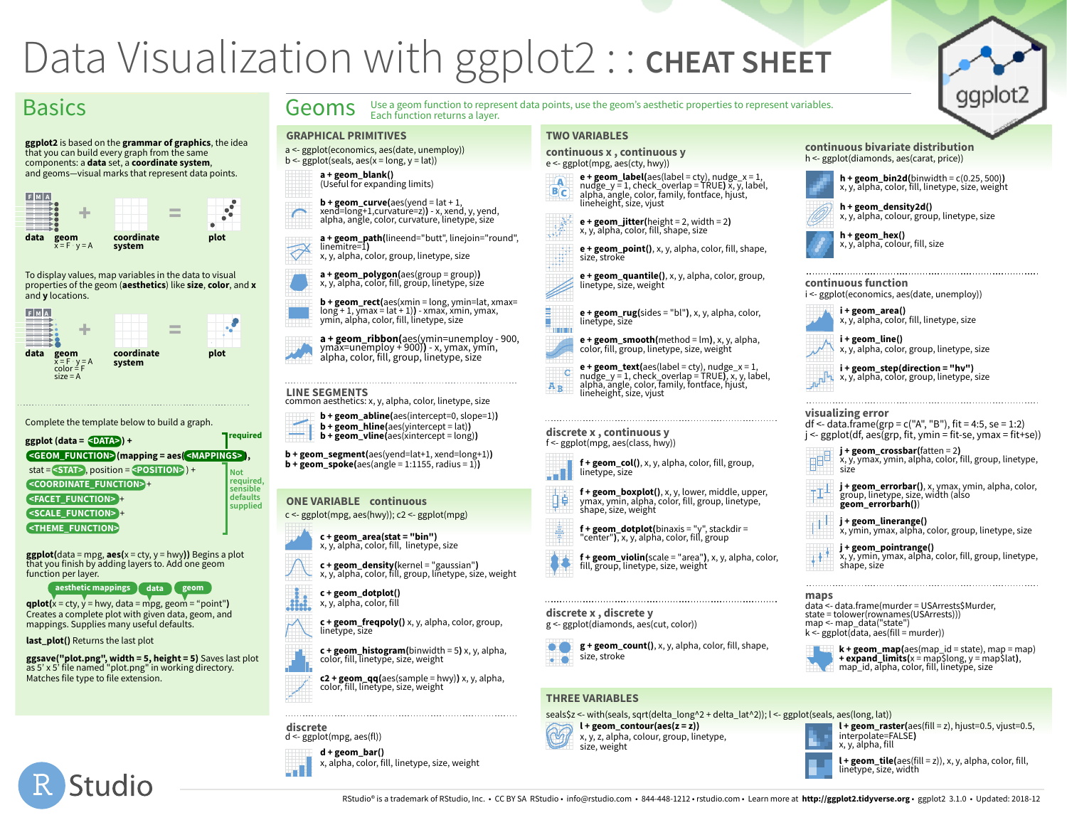# Data Visualization with ggplot2 :: **CHEAT SHEET**

Each function returns a layer.

### **Basics**

**ggplot2** is based on the **grammar of graphics**, the idea that you can build every graph from the same components: a **data** set, a **coordinate system**, and geoms—visual marks that represent data points.



To display values, map variables in the data to visual properties of the geom (**aesthetics**) like **size**, **color**, and **x** and **y** locations.



Complete the template below to build a graph.

| $ggplot (data = \triangle$                                            | required              |
|-----------------------------------------------------------------------|-----------------------|
| <geom_function>(mapping = aes(<mappings>),</mappings></geom_function> |                       |
| stat = $\leq$ STAT>, position = $\leq$ POSITION>) +                   | <b>Not</b>            |
| <coordinate_function>+</coordinate_function>                          | required,<br>sensible |
| <b><facet_function> +</facet_function></b>                            | defaults              |
| <scale_function> +</scale_function>                                   | supplied              |
| <theme_function></theme_function>                                     |                       |
|                                                                       |                       |

**ggplot**(data = mpg,  $\text{aes}(x = cty, y = hwy)$ ) Begins a plot that you finish by adding layers to. Add one geom function per layer.

**aesthetic mappings data geom**

 $qplot(x = cty, y = hwy, data = mpg, geom = "point")$ Creates a complete plot with given data, geom, and mappings. Supplies many useful defaults.

**last\_plot()** Returns the last plot

**ggsave("plot.png", width = 5, height = 5)** Saves last plot as 5' x 5' file named "plot.png" in working directory. Matches file type to file extension.



**a + geom\_path(**lineend="butt", linejoin="round", linemitre=1**)**

x, y, alpha, color, group, linetype, size

**GRAPHICAL PRIMITIVES**

**a + geom\_polygon(**aes(group = group)**)** x, y, alpha, color, fill, group, linetype, size

**b + geom\_rect(**aes(xmin = long, ymin=lat, xmax= long + 1, ymax = lat + 1)**)** - xmax, xmin, ymax, ymin, alpha, color, fill, linetype, size

**a + geom\_ribbon(**aes(ymin=unemploy - 900, ymax=unemploy + 900)**)** - x, ymax, ymin, alpha, color, fill, group, linetype, size

**LINE SEGMENTS** common aesthetics: x, y, alpha, color, linetype, size

- **b + geom\_abline(**aes(intercept=0, slope=1)**)**
- **<b>hline**(aes(yintercept = lat)) **b + geom\_vline(**aes(xintercept = long)**)**

**b + geom\_segment(**aes(yend=lat+1, xend=long+1)**)**  $$ 

#### **ONE VARIABLE continuous** c <- ggplot(mpg, aes(hwy)); c2 <- ggplot(mpg)



**c + geom\_density(**kernel = "gaussian"**)** x, y, alpha, color, fill, group, linetype, size, weight

**c + geom\_dotplot()** x, y, alpha, color, fill

**c + geom\_freqpoly()** x, y, alpha, color, group, linetype, size



**c2 + geom\_qq(**aes(sample = hwy)**)** x, y, alpha, color, fill, linetype, size, weight

**discrete**



### **TWO VARIABLES**

Geoms Use a geom function to represent data points, use the geom's aesthetic properties to represent variables.

**continuous x , continuous y**  e <- ggplot(mpg, aes(cty, hwy))

**e + geom\_label(**aes(label = cty), nudge\_x = 1, nudge\_y = 1, check\_overlap = TRUE) x, y, label, alpha, angle, color, family, fontface, hjust, lineheight, size, vjust



**e + geom\_point()**, x, y, alpha, color, fill, shape, size, stroke

**e + geom\_quantile()**, x, y, alpha, color, group, linetype, size, weight

**e + geom\_rug(**sides = "bl"**)**, x, y, alpha, color, linetype, size

**e + geom\_smooth(**method = lm**)**, x, y, alpha, color, fill, group, linetype, size, weight

**e + geom\_text(**aes(label = cty), nudge\_x = 1,<br>nudge\_y = 1, check\_overlap = TRUE**)**, x, y, label,<br>alpha, angle, color, family, fontface, hjust,  $\overline{c}$ lineheight, size, vjust

**f + geom\_dotplot(**binaxis = "y", stackdir = "center"**)**, x, y, alpha, color, fill, group

#### **discrete x , continuous y**  f <- ggplot(mpg, aes(class, hwy))

**f + geom\_col()**, x, y, alpha, color, fill, group, linetype, size



 $A_B$ 





**f + geom\_violin(**scale = "area"**)**, x, y, alpha, color, fill, group, linetype, size, weight

#### **discrete x , discrete y**





**g + geom\_count()**, x, y, alpha, color, fill, shape,

### **THREE VARIABLES**

#### seals\$z <- with(seals, sqrt(delta\_long^2 + delta\_lat^2)); l <- ggplot(seals, aes(long, lat))  $l + geom$  raster( $aes$ (fill = z), hjust=0.5, vjust=0.5,

 $l +$  geom contour(aes( $z = z$ ))

x, y, z, alpha, colour, group, linetype, size, weight



**l + geom\_tile(**aes(fill = z)), x, y, alpha, color, fill, linetype, size, width















ggplot.

**h + geom\_hex()** x, y, alpha, colour, fill, size

### **continuous function**

| i <- ggplot(economics, aes(date, unemploy)) |  |
|---------------------------------------------|--|
|---------------------------------------------|--|



**i + geom\_line()**  $x, y$ , alpha, color, group, linetype, size

**i + geom\_step(direction = "hv")** x, y, alpha, color, group, linetype, size

### **visualizing error**

df <- data.frame(grp =  $c("A", "B")$ , fit = 4:5, se = 1:2)  $j <$ - ggplot(df, aes(grp, fit, ymin = fit-se, ymax = fit+se))



**j + geom\_errorbar()**, x, ymax, ymin, alpha, color, group, linetype, size, width (also **geom\_errorbarh()**)

**j + geom\_linerange()** x, ymin, ymax, alpha, color, group, linetype, size

**j + geom\_pointrange()** x, y, ymin, ymax, alpha, color, fill, group, linetype, shape, size

#### **maps**

data <- data.frame(murder = USArrests\$Murder, state = tolower(rownames(USArrests))) map <- map\_data("state")  $k < ggplot(data, aes(fill = murder))$